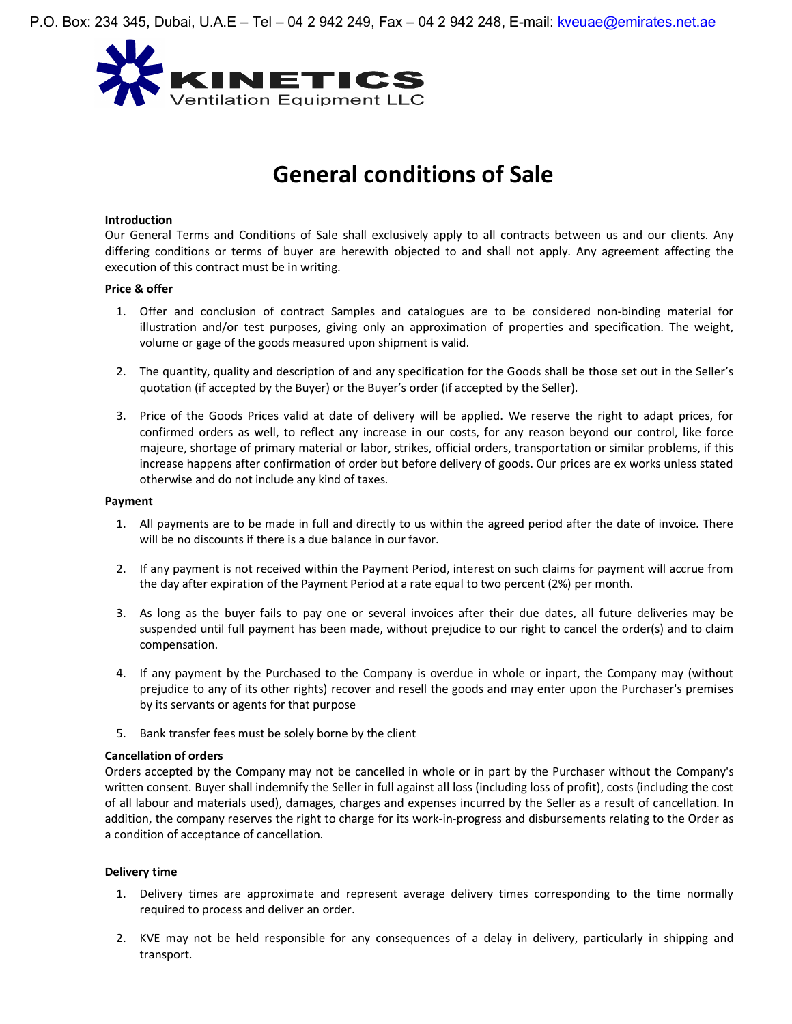

# **General conditions of Sale**

#### **Introduction**

Our General Terms and Conditions of Sale shall exclusively apply to all contracts between us and our clients. Any differing conditions or terms of buyer are herewith objected to and shall not apply. Any agreement affecting the execution of this contract must be in writing.

## **Price & offer**

- 1. Offer and conclusion of contract Samples and catalogues are to be considered non-binding material for illustration and/or test purposes, giving only an approximation of properties and specification. The weight, volume or gage of the goods measured upon shipment is valid.
- 2. The quantity, quality and description of and any specification for the Goods shall be those set out in the Seller's quotation (if accepted by the Buyer) or the Buyer's order (if accepted by the Seller).
- 3. Price of the Goods Prices valid at date of delivery will be applied. We reserve the right to adapt prices, for confirmed orders as well, to reflect any increase in our costs, for any reason beyond our control, like force majeure, shortage of primary material or labor, strikes, official orders, transportation or similar problems, if this increase happens after confirmation of order but before delivery of goods. Our prices are ex works unless stated otherwise and do not include any kind of taxes.

#### **Payment**

- 1. All payments are to be made in full and directly to us within the agreed period after the date of invoice. There will be no discounts if there is a due balance in our favor.
- 2. If any payment is not received within the Payment Period, interest on such claims for payment will accrue from the day after expiration of the Payment Period at a rate equal to two percent (2%) per month.
- 3. As long as the buyer fails to pay one or several invoices after their due dates, all future deliveries may be suspended until full payment has been made, without prejudice to our right to cancel the order(s) and to claim compensation.
- 4. If any payment by the Purchased to the Company is overdue in whole or inpart, the Company may (without prejudice to any of its other rights) recover and resell the goods and may enter upon the Purchaser's premises by its servants or agents for that purpose
- 5. Bank transfer fees must be solely borne by the client

## **Cancellation of orders**

Orders accepted by the Company may not be cancelled in whole or in part by the Purchaser without the Company's written consent. Buyer shall indemnify the Seller in full against all loss (including loss of profit), costs (including the cost of all labour and materials used), damages, charges and expenses incurred by the Seller as a result of cancellation. In addition, the company reserves the right to charge for its work-in-progress and disbursements relating to the Order as a condition of acceptance of cancellation.

## **Delivery time**

- 1. Delivery times are approximate and represent average delivery times corresponding to the time normally required to process and deliver an order.
- 2. KVE may not be held responsible for any consequences of a delay in delivery, particularly in shipping and transport.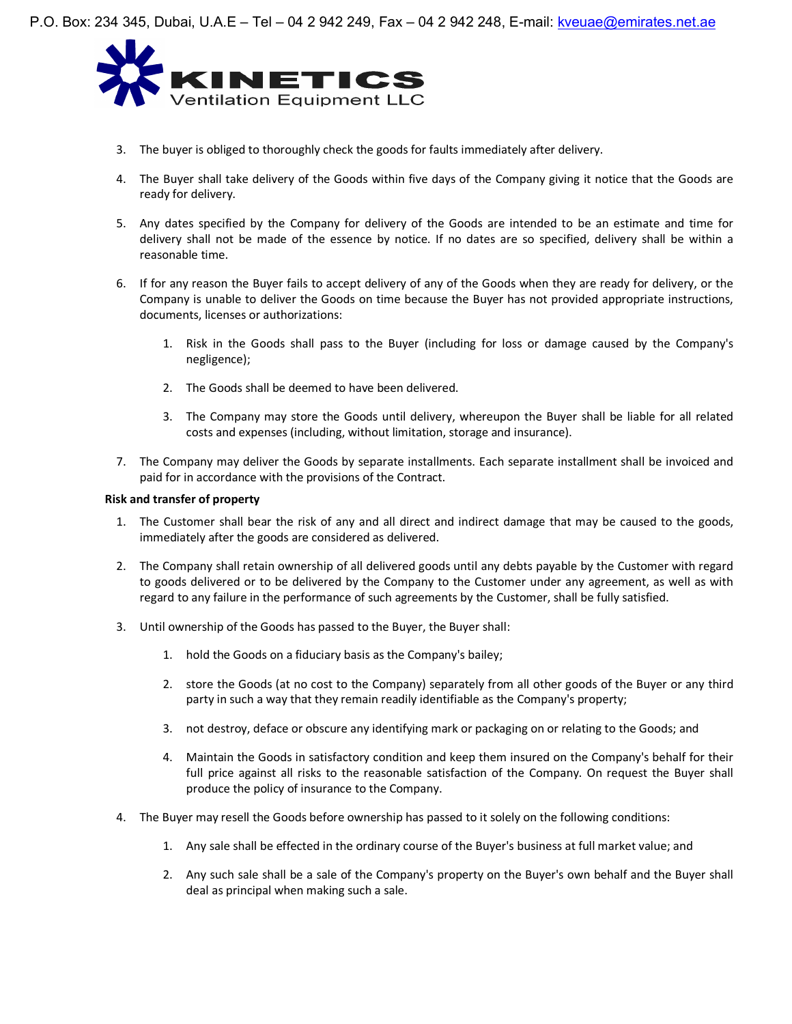

- 3. The buyer is obliged to thoroughly check the goods for faults immediately after delivery.
- 4. The Buyer shall take delivery of the Goods within five days of the Company giving it notice that the Goods are ready for delivery.
- 5. Any dates specified by the Company for delivery of the Goods are intended to be an estimate and time for delivery shall not be made of the essence by notice. If no dates are so specified, delivery shall be within a reasonable time.
- 6. If for any reason the Buyer fails to accept delivery of any of the Goods when they are ready for delivery, or the Company is unable to deliver the Goods on time because the Buyer has not provided appropriate instructions, documents, licenses or authorizations:
	- 1. Risk in the Goods shall pass to the Buyer (including for loss or damage caused by the Company's negligence);
	- 2. The Goods shall be deemed to have been delivered.
	- 3. The Company may store the Goods until delivery, whereupon the Buyer shall be liable for all related costs and expenses (including, without limitation, storage and insurance).
- 7. The Company may deliver the Goods by separate installments. Each separate installment shall be invoiced and paid for in accordance with the provisions of the Contract.

## **Risk and transfer of property**

- 1. The Customer shall bear the risk of any and all direct and indirect damage that may be caused to the goods, immediately after the goods are considered as delivered.
- 2. The Company shall retain ownership of all delivered goods until any debts payable by the Customer with regard to goods delivered or to be delivered by the Company to the Customer under any agreement, as well as with regard to any failure in the performance of such agreements by the Customer, shall be fully satisfied.
- 3. Until ownership of the Goods has passed to the Buyer, the Buyer shall:
	- 1. hold the Goods on a fiduciary basis as the Company's bailey;
	- 2. store the Goods (at no cost to the Company) separately from all other goods of the Buyer or any third party in such a way that they remain readily identifiable as the Company's property;
	- 3. not destroy, deface or obscure any identifying mark or packaging on or relating to the Goods; and
	- 4. Maintain the Goods in satisfactory condition and keep them insured on the Company's behalf for their full price against all risks to the reasonable satisfaction of the Company. On request the Buyer shall produce the policy of insurance to the Company.
- 4. The Buyer may resell the Goods before ownership has passed to it solely on the following conditions:
	- 1. Any sale shall be effected in the ordinary course of the Buyer's business at full market value; and
	- 2. Any such sale shall be a sale of the Company's property on the Buyer's own behalf and the Buyer shall deal as principal when making such a sale.